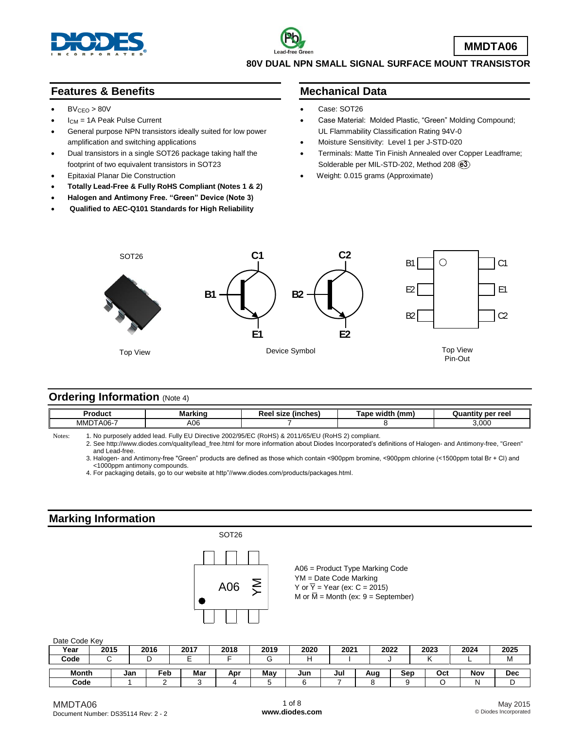

### **Features & Benefits**

- $BV<sub>CEO</sub> > 80V$
- ICM = 1A Peak Pulse Current
- General purpose NPN transistors ideally suited for low power amplification and switching applications
- Dual transistors in a single SOT26 package taking half the footprint of two equivalent transistors in SOT23
- Epitaxial Planar Die Construction
- **Totally Lead-Free & Fully RoHS Compliant (Notes 1 & 2)**
- **Halogen and Antimony Free. "Green" Device (Note 3)**
- **Qualified to AEC-Q101 Standards for High Reliability**

#### **Mechanical Data**

- Case: SOT26
- Case Material: Molded Plastic, "Green" Molding Compound; UL Flammability Classification Rating 94V-0
- Moisture Sensitivity: Level 1 per J-STD-020
- Terminals: Matte Tin Finish Annealed over Copper Leadframe; Solderable per MIL-STD-202, Method 208  $(3)$
- Weight: 0.015 grams (Approximate)



### **Ordering Information (Note 4)**

|                                        | .                    | width<br>mm/ | าr ree∟       |
|----------------------------------------|----------------------|--------------|---------------|
| $A06 -$<br>МMI<br>$\sim$ $\sim$ $\sim$ | $\sim$<br>AUC<br>. . |              | ,000<br>- - - |

Notes: 1. No purposely added lead. Fully EU Directive 2002/95/EC (RoHS) & 2011/65/EU (RoHS 2) compliant.

2. See [http://www.diodes.com/quality/lead\\_free.html](http://www.diodes.com/quality/lead_free.html) for more information about Diodes Incorporated's definitions of Halogen- and Antimony-free, "Green" and Lead-free.

3. Halogen- and Antimony-free "Green" products are defined as those which contain <900ppm bromine, <900ppm chlorine (<1500ppm total Br + Cl) and <1000ppm antimony compounds.

4. For packaging details, go to our website at http"//[www.diodes.com/products/packages.html.](http://www.diodes.com/products/packages.html)

### **Marking Information**



#### Date Code Key

| <b>DUID OUGO INDY</b> |      |     |      |      |      |      |      |      |      |     |      |      |            |
|-----------------------|------|-----|------|------|------|------|------|------|------|-----|------|------|------------|
| Year                  | 2015 |     | 2016 | 2017 | 2018 | 2019 | 2020 | 2021 | 2022 |     | 2023 | 2024 | 2025       |
| Code                  |      |     |      |      |      |      | г    |      |      |     |      |      | <b>IVI</b> |
|                       |      |     |      |      |      |      |      |      |      |     |      |      |            |
| <b>Month</b>          |      | Jan | Feb  | Mar  | Apr  | Mav  | Jun  | Jul  | Auc  | Sep | Oct  | Nov  | <b>Dec</b> |
| Code                  |      |     |      |      |      |      |      |      |      |     |      |      |            |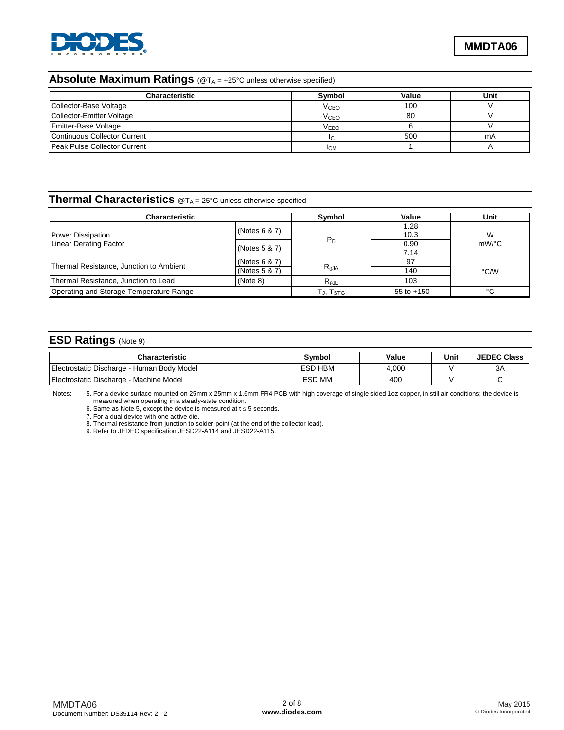

## **Absolute Maximum Ratings** (@TA = +25°C unless otherwise specified)

| <b>Characteristic</b>        | Symbol                 | Value | Unit |
|------------------------------|------------------------|-------|------|
| Collector-Base Voltage       | V <sub>СВО</sub>       | 100   |      |
| Collector-Emitter Voltage    | <b>V<sub>CEO</sub></b> | 80    |      |
| Emitter-Base Voltage         | V <sub>EBO</sub>       |       |      |
| Continuous Collector Current |                        | 500   | mA   |
| Peak Pulse Collector Current | <b>ICM</b>             |       |      |

# **Thermal Characteristics** @T<sup>A</sup> = 25°C unless otherwise specified

| <b>Characteristic</b>                            |                                   | Symbol                      | Value           | Unit  |
|--------------------------------------------------|-----------------------------------|-----------------------------|-----------------|-------|
| Power Dissipation                                | (Notes 6 & 7)                     |                             | 1.28<br>10.3    | W     |
| Linear Derating Factor                           | (Notes $5 & 7$ )                  | $P_D$                       | 0.90<br>7.14    | mW/°C |
| Thermal Resistance, Junction to Ambient          | (Notes $6 & 7$ )<br>(Notes 5 & 7) | $R_{\theta$ JA              | 97<br>140       | °C/W  |
| Thermal Resistance, Junction to Lead<br>(Note 8) |                                   | $R_{\theta$ JL              | 103             |       |
| Operating and Storage Temperature Range          |                                   | $T_{\sf J}$ , $T_{\sf STG}$ | $-55$ to $+150$ | °C    |

## **ESD Ratings** (Note 9)

| Characteristic                             | Symbol  | Value | Unit | <b>JEDEC Class</b> |
|--------------------------------------------|---------|-------|------|--------------------|
| Electrostatic Discharge - Human Body Model | ESD HBM | 4.000 |      | ЗA                 |
| Electrostatic Discharge - Machine Model    | ESD MM  | 400   |      |                    |

Notes: 5. For a device surface mounted on 25mm x 25mm x 1.6mm FR4 PCB with high coverage of single sided 1oz copper, in still air conditions; the device is measured when operating in a steady-state condition.

6. Same as Note 5, except the device is measured at  $t \le 5$  seconds.

7. For a dual device with one active die.

8. Thermal resistance from junction to solder-point (at the end of the collector lead).

9. Refer to JEDEC specification JESD22-A114 and JESD22-A115.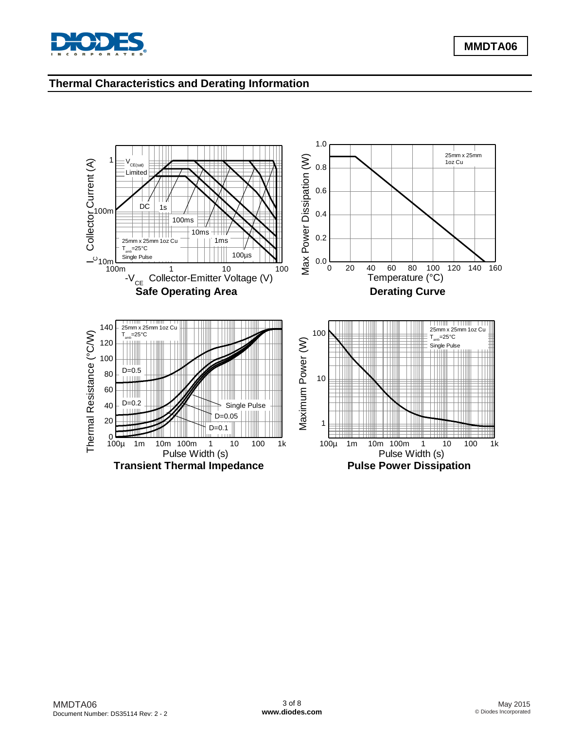

## **Thermal Characteristics and Derating Information**

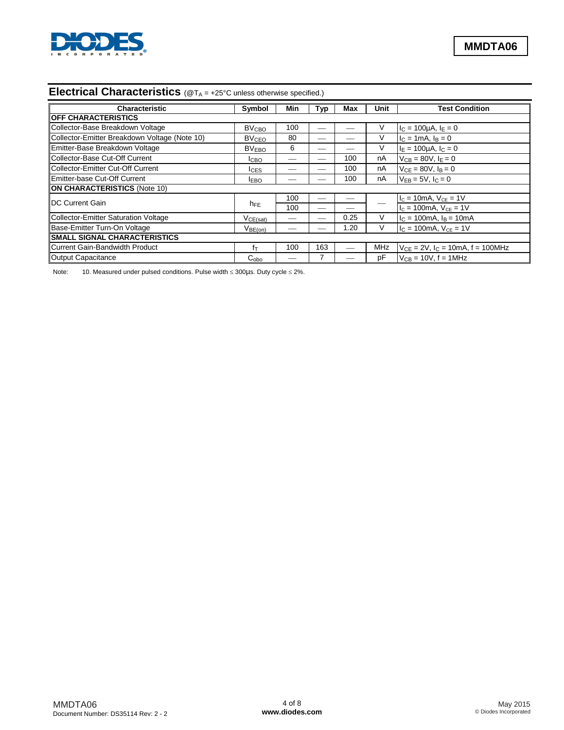

## **Electrical Characteristics** (@T<sub>A</sub> = +25°C unless otherwise specified.)

| <b>Characteristic</b>                         | Symbol                  | Min | Typ | Max  | Unit | <b>Test Condition</b>                       |  |  |
|-----------------------------------------------|-------------------------|-----|-----|------|------|---------------------------------------------|--|--|
| <b>OFF CHARACTERISTICS</b>                    |                         |     |     |      |      |                                             |  |  |
| Collector-Base Breakdown Voltage              | <b>BV<sub>CBO</sub></b> | 100 |     |      | V    | $I_C = 100 \mu A, I_E = 0$                  |  |  |
| Collector-Emitter Breakdown Voltage (Note 10) | <b>BV<sub>CEO</sub></b> | 80  | --  |      | V    | $I_C = 1 \text{ mA}$ , $I_B = 0$            |  |  |
| Emitter-Base Breakdown Voltage                | BV <sub>EBO</sub>       | 6   | --  |      | V    | $I_F = 100 \mu A$ , $I_C = 0$               |  |  |
| Collector-Base Cut-Off Current                | I <sub>CBO</sub>        |     |     | 100  | nA   | $V_{CB} = 80V, I_F = 0$                     |  |  |
| Collector-Emitter Cut-Off Current             | <b>ICES</b>             |     | _   | 100  | nA   | $V_{CE} = 80V$ , $I_B = 0$                  |  |  |
| Emitter-base Cut-Off Current                  | <b>IEBO</b>             |     |     | 100  | nA   | $V_{FB} = 5V$ , $I_C = 0$                   |  |  |
| <b>ON CHARACTERISTICS (Note 10)</b>           |                         |     |     |      |      |                                             |  |  |
| <b>IDC Current Gain</b>                       |                         | 100 |     |      |      | $I_c = 10mA$ , $V_{CE} = 1V$                |  |  |
|                                               | $h_{FE}$                | 100 |     |      |      | $I_c = 100$ mA, $V_{CE} = 1V$               |  |  |
| Collector-Emitter Saturation Voltage          | VCE(sat)                |     | --  | 0.25 | V    | $IC = 100mA, IB = 10mA$                     |  |  |
| Base-Emitter Turn-On Voltage                  | $V_{BE(on)}$            |     |     | 1.20 | V    | $I_C = 100mA$ , $V_{CE} = 1V$               |  |  |
| <b>SMALL SIGNAL CHARACTERISTICS</b>           |                         |     |     |      |      |                                             |  |  |
| Current Gain-Bandwidth Product                | fт                      | 100 | 163 |      | MHz  | $V_{CE} = 2V$ , $I_C = 10mA$ , $f = 100MHz$ |  |  |
| Output Capacitance                            | $C_{\rm obo}$           |     | 7   |      | рF   | $V_{CB}$ = 10V, f = 1MHz                    |  |  |

Note: 10. Measured under pulsed conditions. Pulse width  $\leq$  300µs. Duty cycle  $\leq$  2%.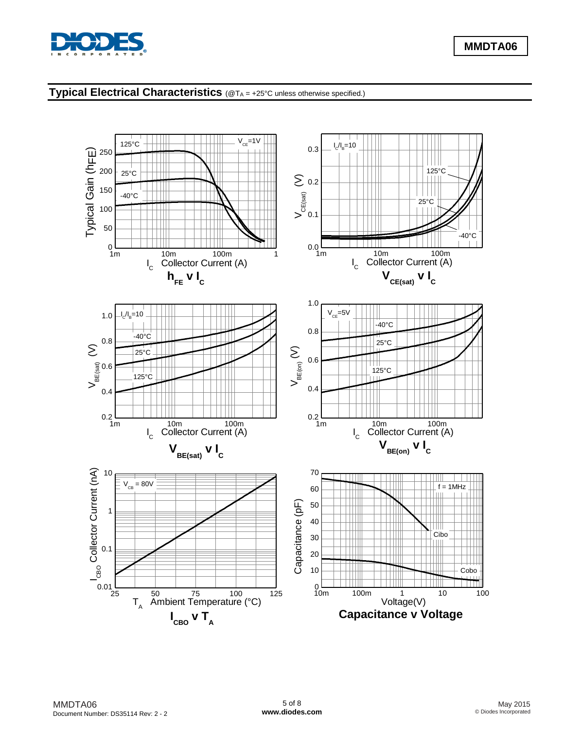

# **Typical Electrical Characteristics** (@T<sub>A</sub> = +25°C unless otherwise specified.)

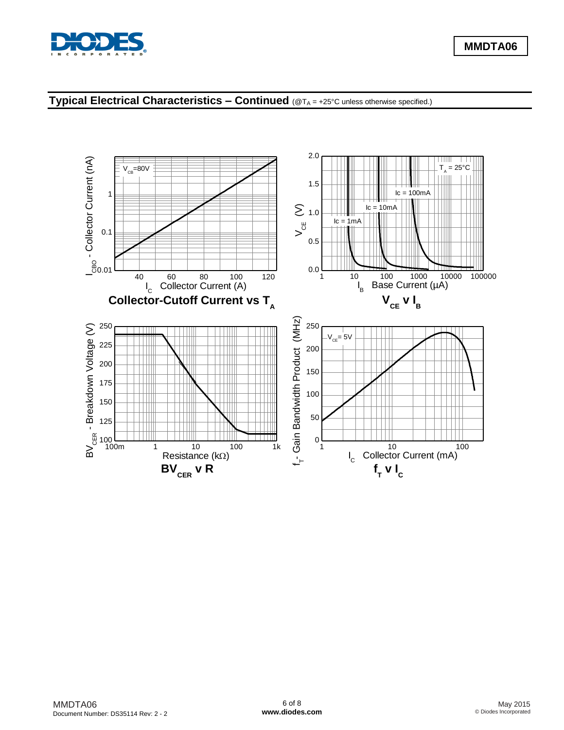

## **Typical Electrical Characteristics – Continued** (@T<sup>A</sup> = +25°C unless otherwise specified.)

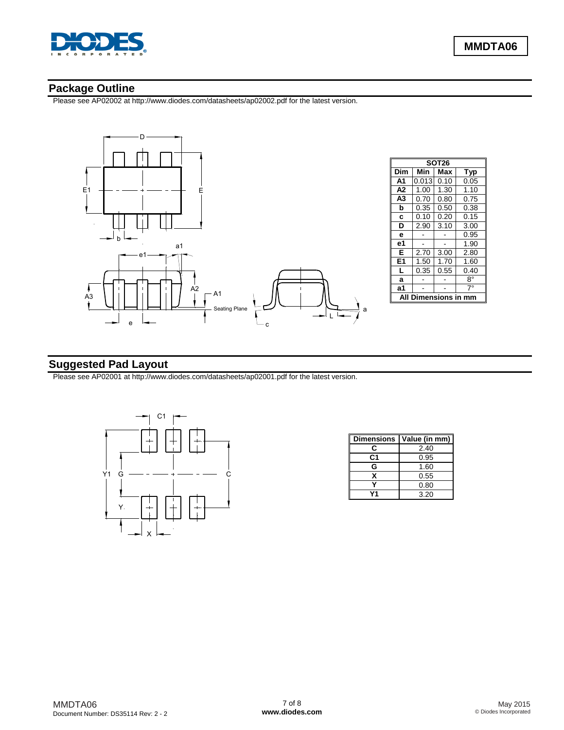

#### **Package Outline**

Please see AP02002 at [http://www.diodes.com/datasheets/ap02002.pdf fo](http://www.diodes.com/datasheets/ap02002.pdf)r the latest version.



## **Suggested Pad Layout**

Please see AP02001 at [http://www.diodes.com/datasheets/ap02001.pdf fo](http://www.diodes.com/datasheets/ap02001.pdf)r the latest version.



| <b>Dimensions</b> | Value (in mm) |
|-------------------|---------------|
| c                 | 2.40          |
| C1                | 0.95          |
| G                 | 1.60          |
| x                 | 0.55          |
|                   | 0.80          |
|                   | 3.20          |